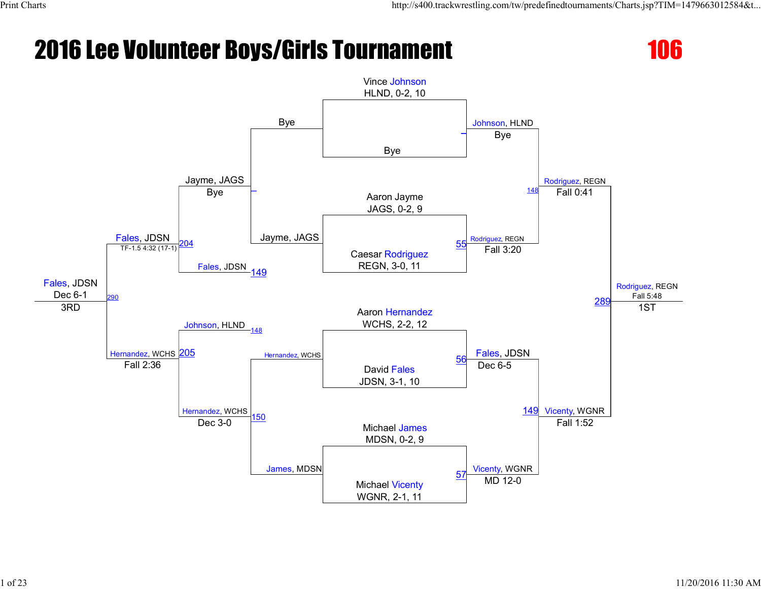

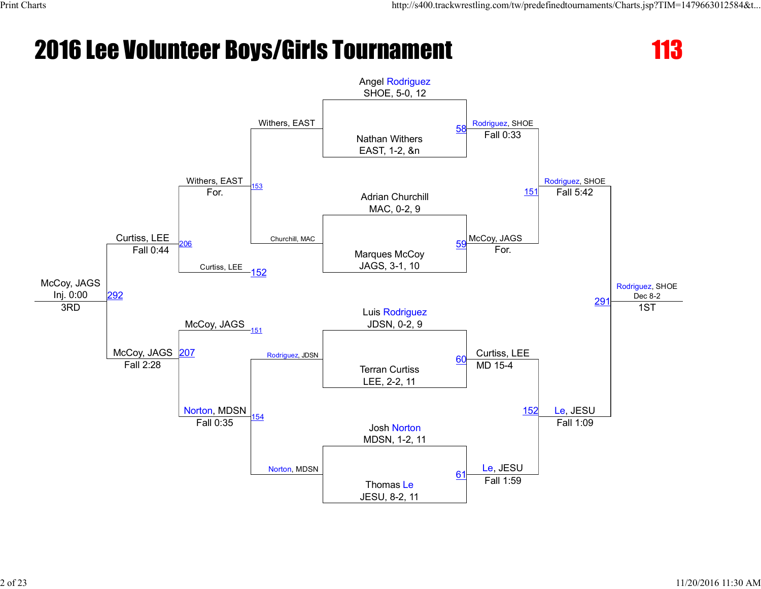

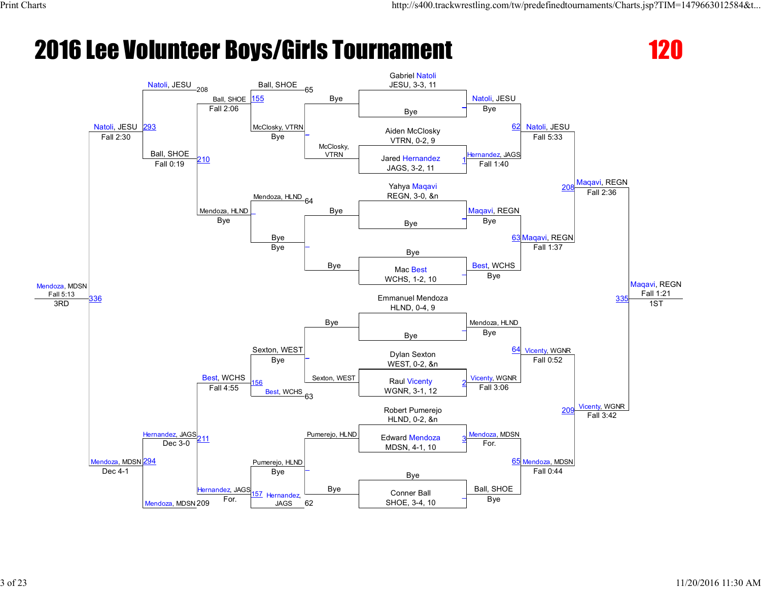

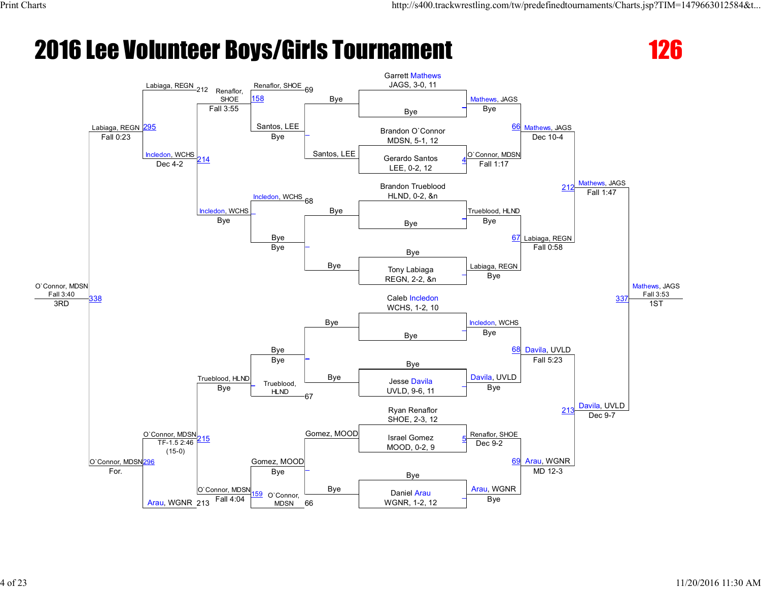

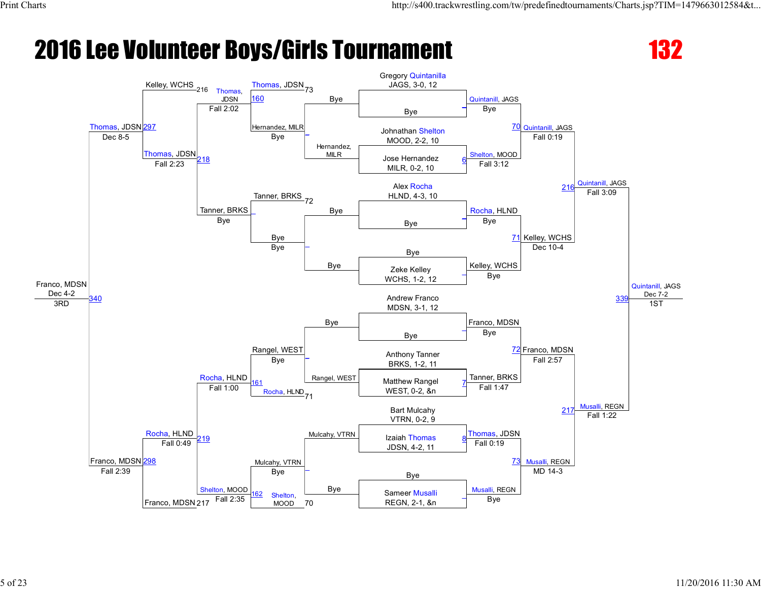

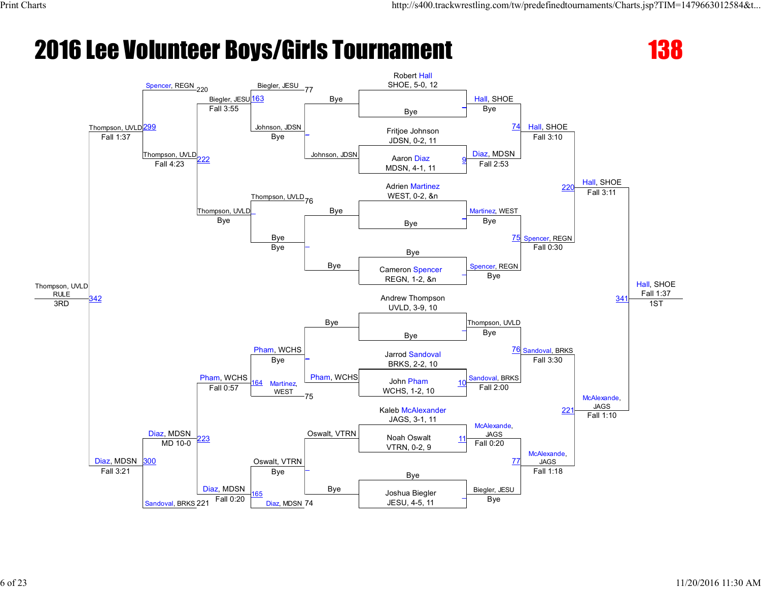

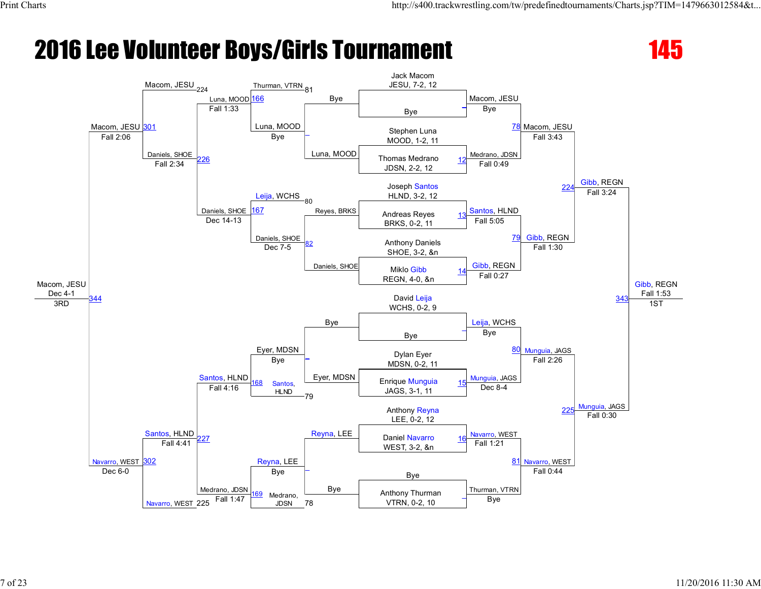

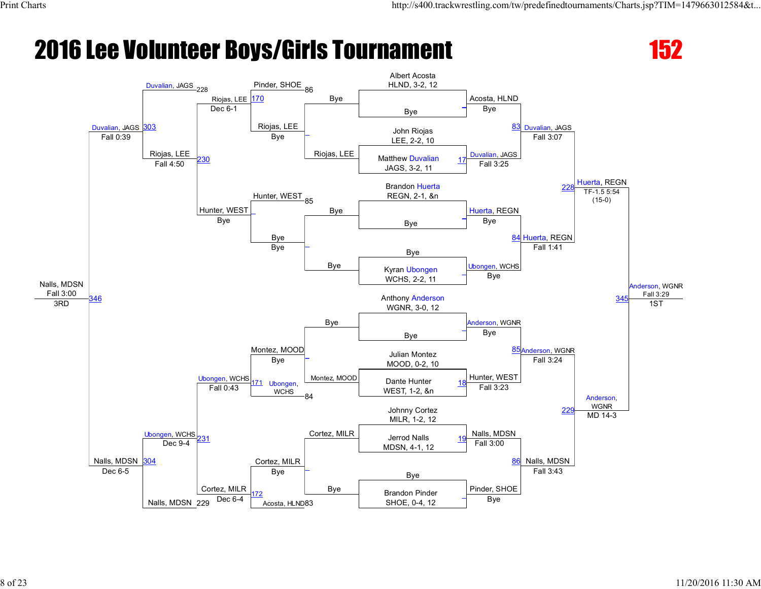

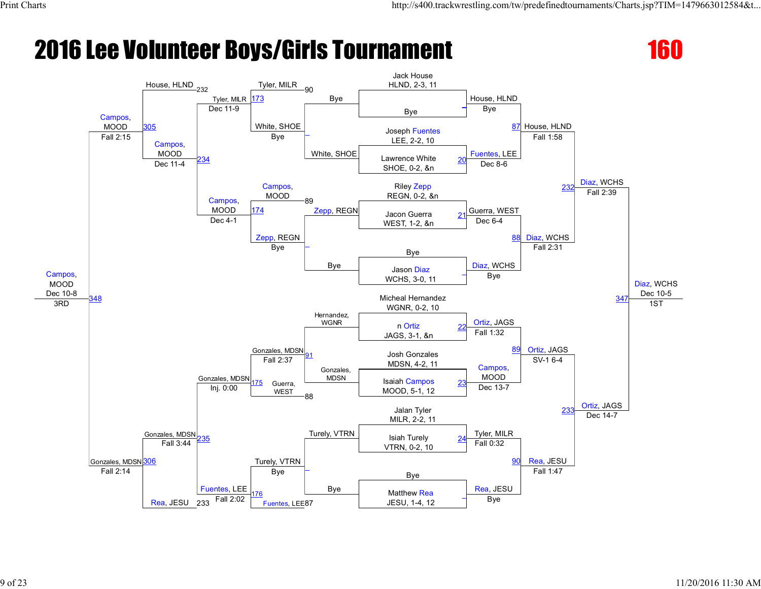

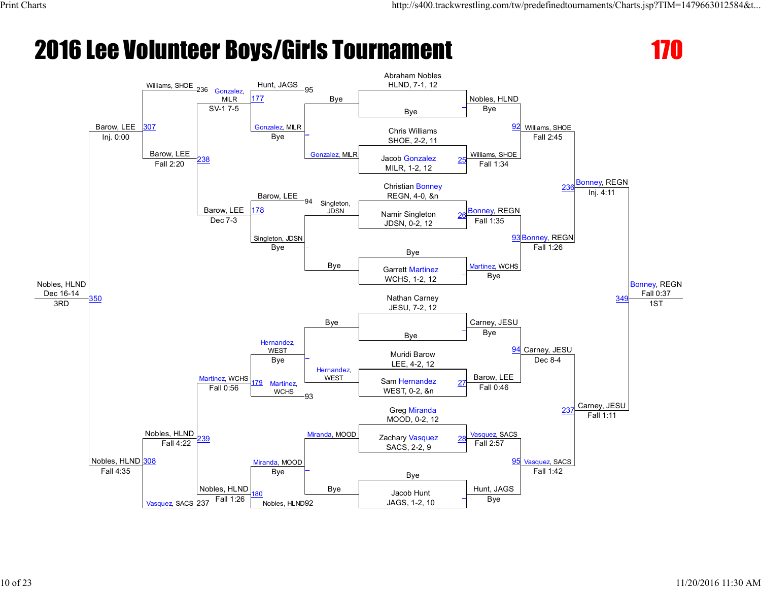

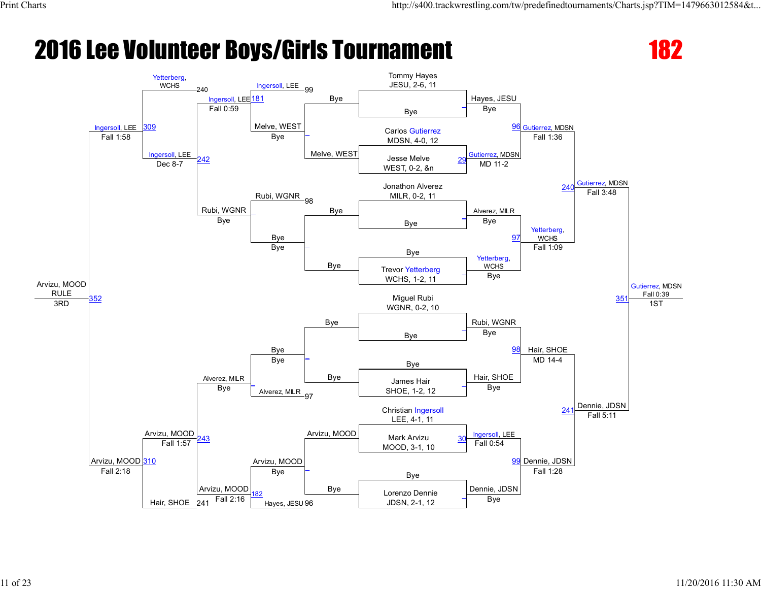

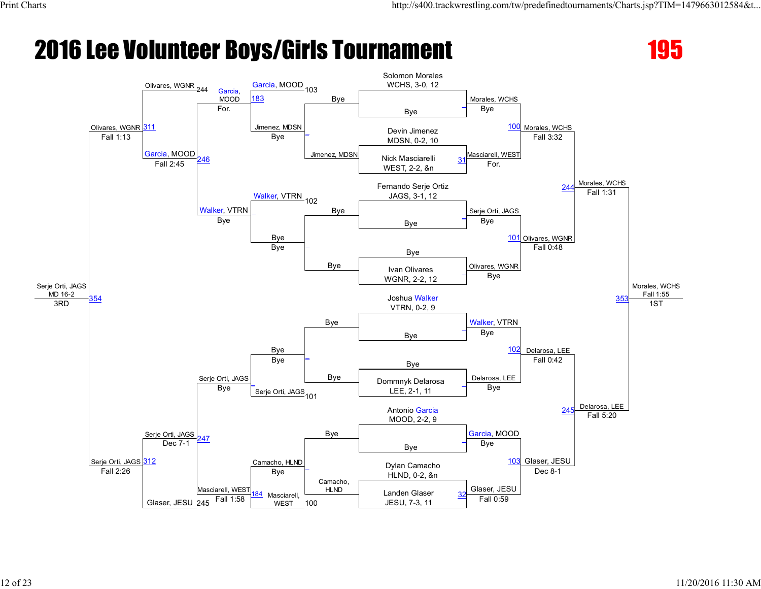

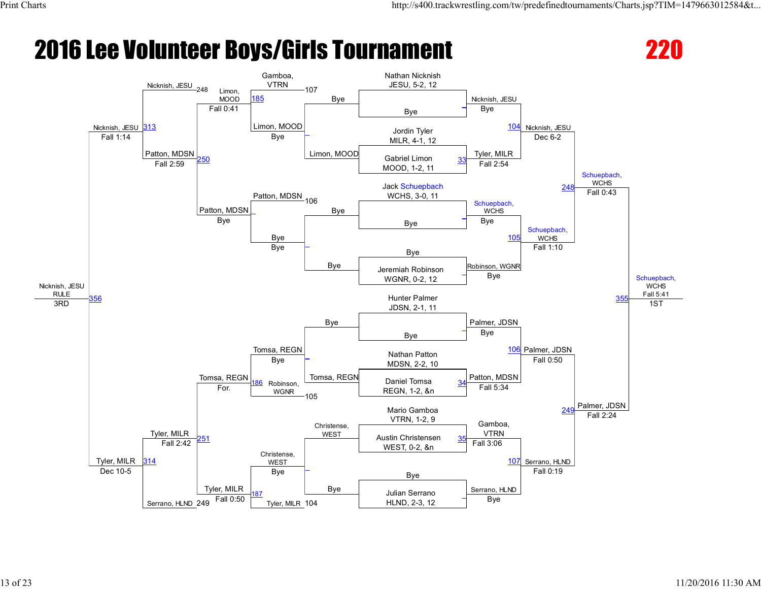

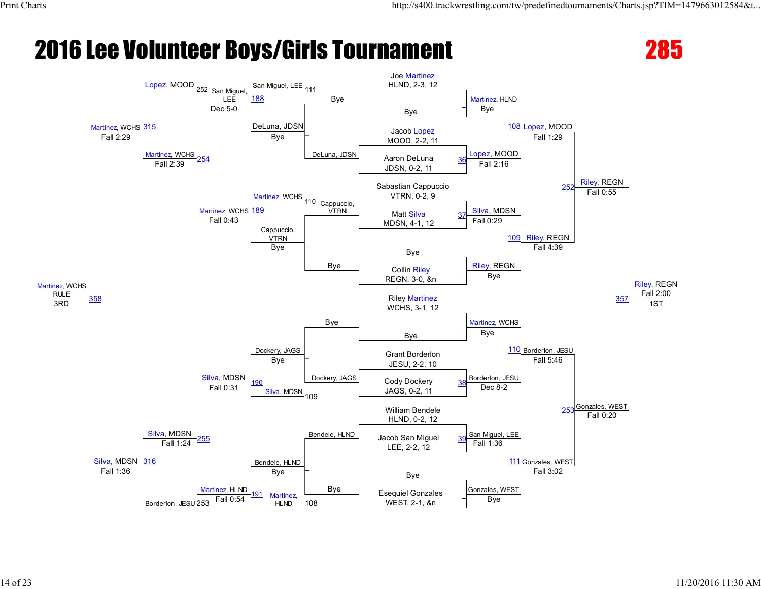

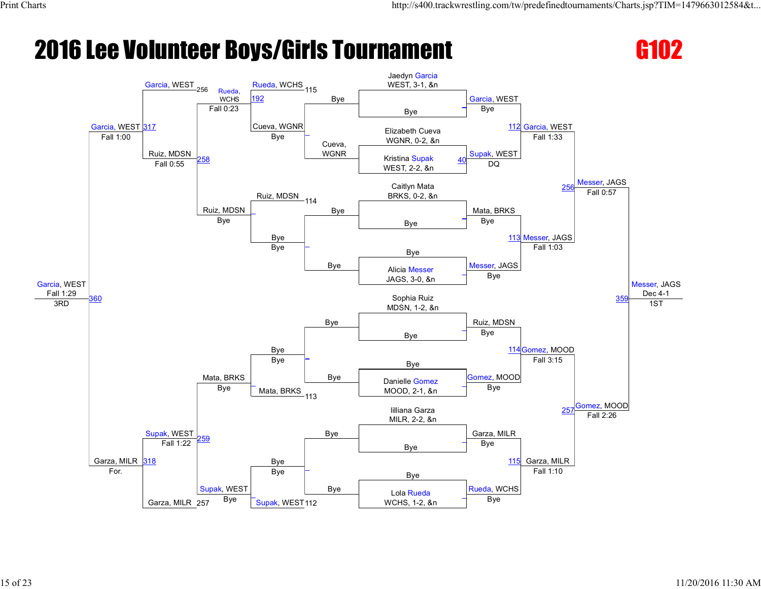

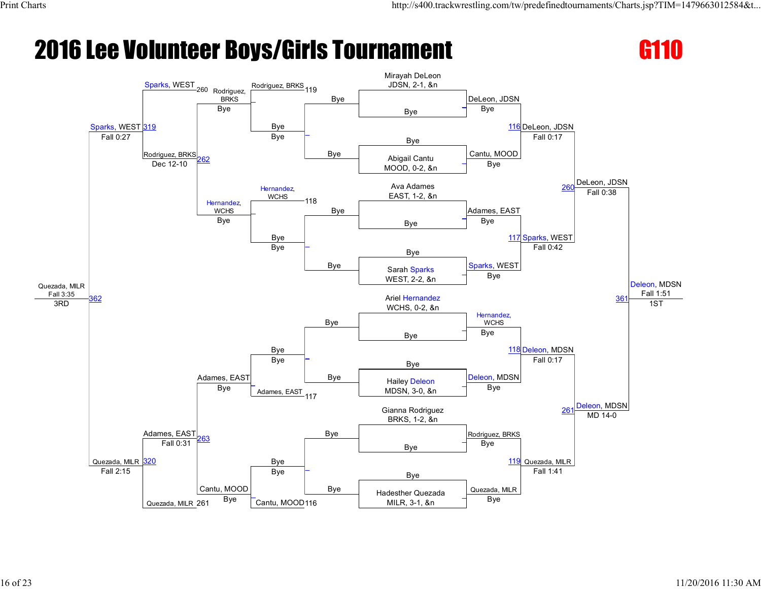

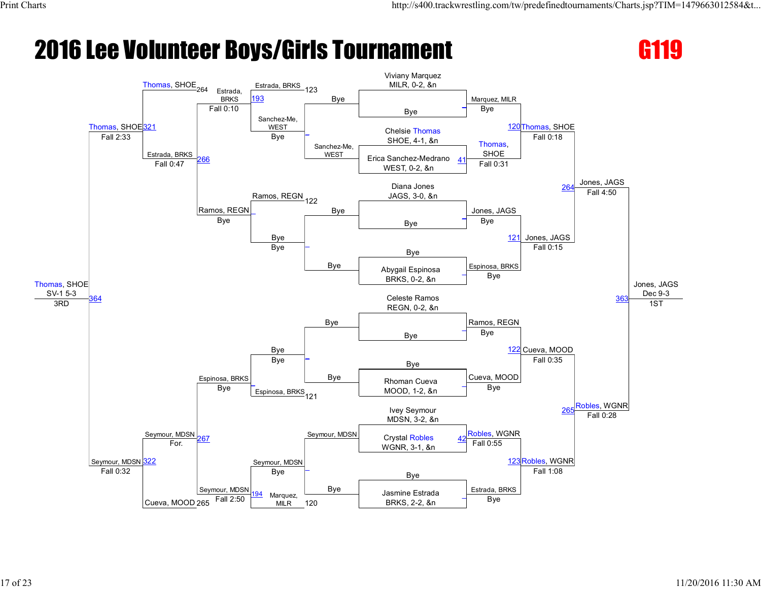

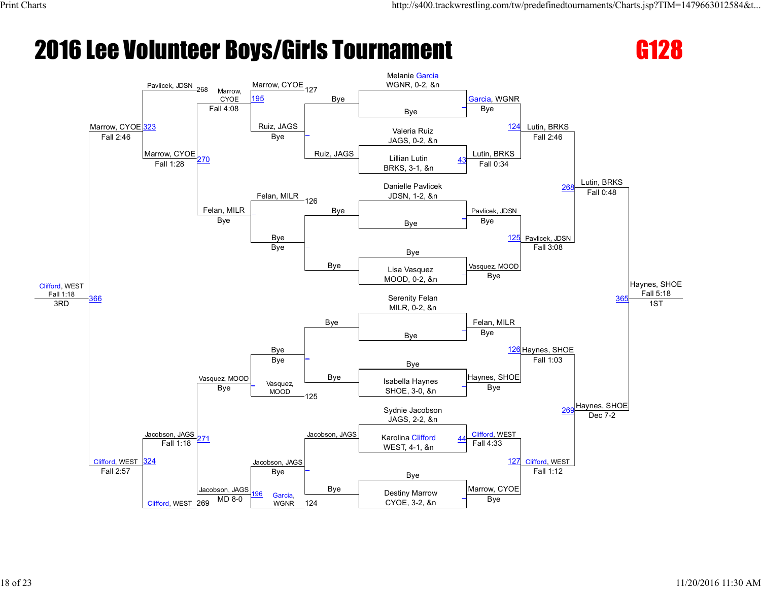

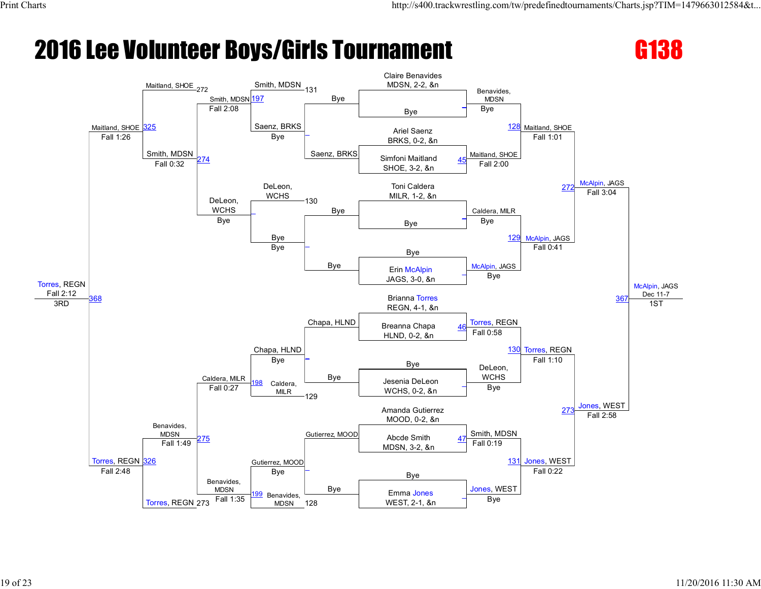

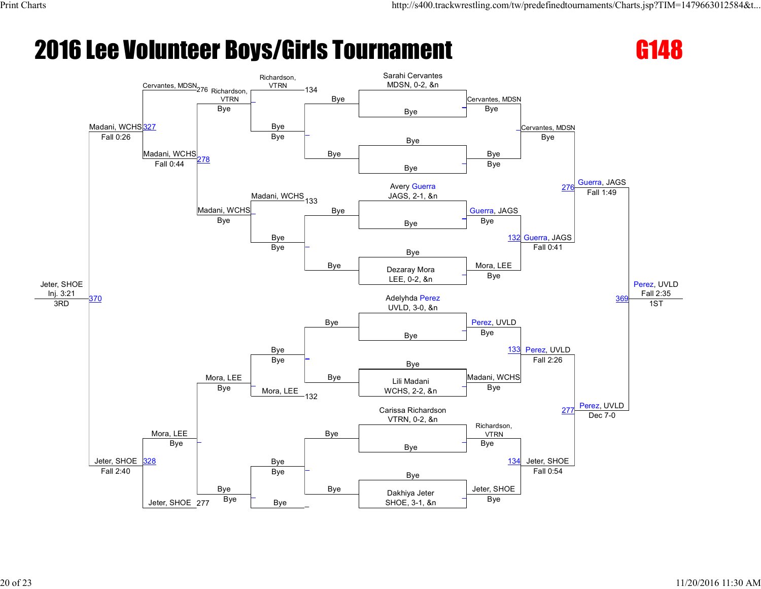

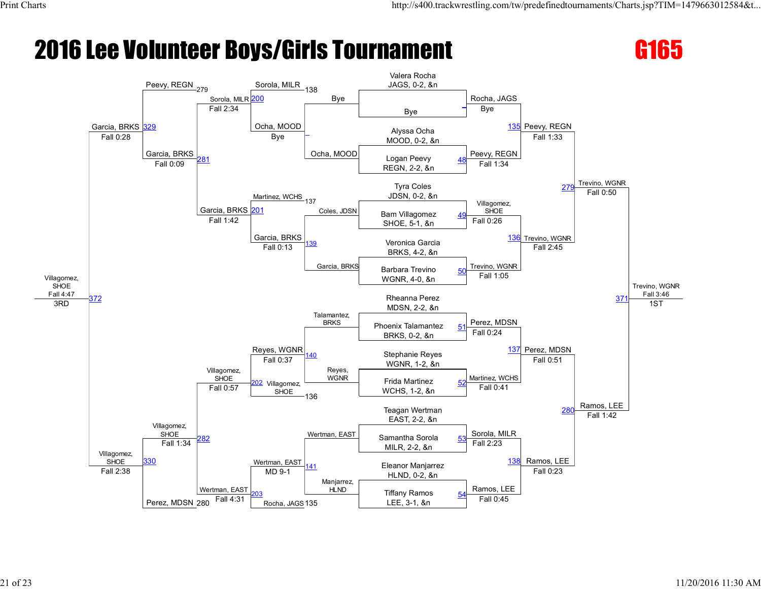

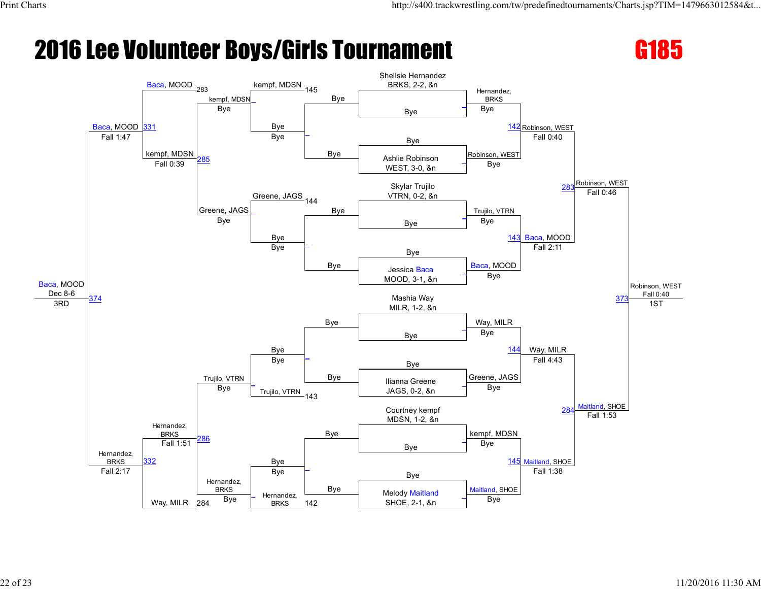